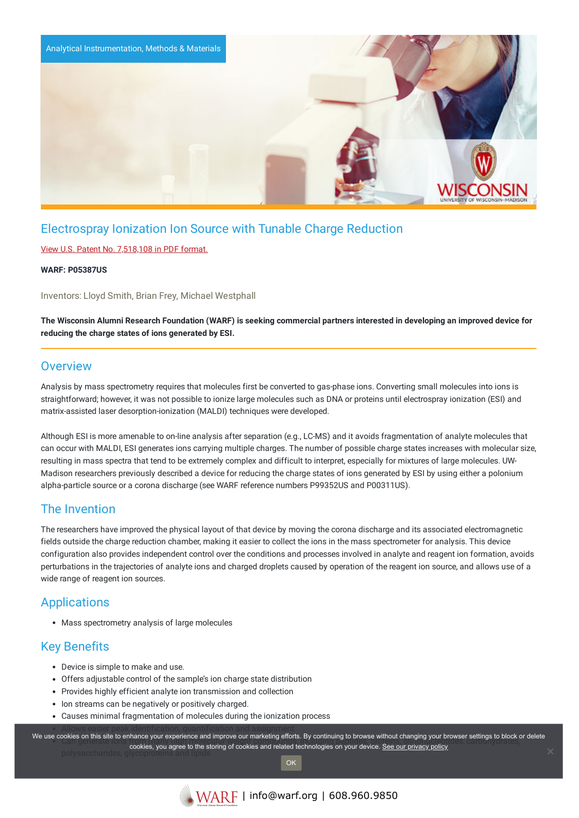

# Electrospray Ionization Ion Source with Tunable Charge Reduction

### View U.S. Patent No. [7,518,108](https://www.warf.org/wp-content/uploads/technologies/ipstatus/P05387US.PDF) in PDF format.

#### **WARF: P05387US**

Inventors: Lloyd Smith, Brian Frey, Michael Westphall

The Wisconsin Alumni Research Foundation (WARF) is seeking commercial partners interested in developing an improved device for **reducing the charge states of ions generated by ESI.**

### **Overview**

Analysis by mass spectrometry requires that molecules first be converted to gas-phase ions. Converting small molecules into ions is straightforward; however, it was not possible to ionize large molecules such as DNA or proteins until electrospray ionization (ESI) and matrix-assisted laser desorption-ionization (MALDI) techniques were developed.

Although ESI is more amenable to on-line analysis after separation (e.g., LC-MS) and it avoids fragmentation of analyte molecules that can occur with MALDI, ESI generates ions carrying multiple charges. The number of possible charge states increases with molecular size, resulting in mass spectra that tend to be extremely complex and difficult to interpret, especially for mixtures of large molecules. UW-Madison researchers previously described a device for reducing the charge states of ions generated by ESI by using either a polonium alpha-particle source or a corona discharge (see WARF reference numbers P99352US and P00311US).

## The Invention

The researchers have improved the physical layout of that device by moving the corona discharge and its associated electromagnetic fields outside the charge reduction chamber, making it easier to collect the ions in the mass spectrometer for analysis. This device configuration also provides independent control over the conditions and processes involved in analyte and reagent ion formation, avoids perturbations in the trajectories of analyte ions and charged droplets caused by operation of the reagent ion source, and allows use of a wide range of reagent ion sources.

# **Applications**

Mass spectrometry analysis of large molecules

## Key Benefits

- Device is simple to make and use.
- Offers adjustable control of the sample's ion charge state distribution
- Provides highly efficient analyte ion transmission and collection
- Ion streams can be negatively or positively charged.
- Causes minimal fragmentation of molecules during the ionization process

We use cookies on this site to enhance your experience and improve our marketing efforts. By continuing to browse without changing your browser settings to block or delete ondes on this site to emilance your experience and improve our marketing enore. By continuing to blowse without changing your blowser settings to block cookies, you agree to the storing of cookies and related technologies